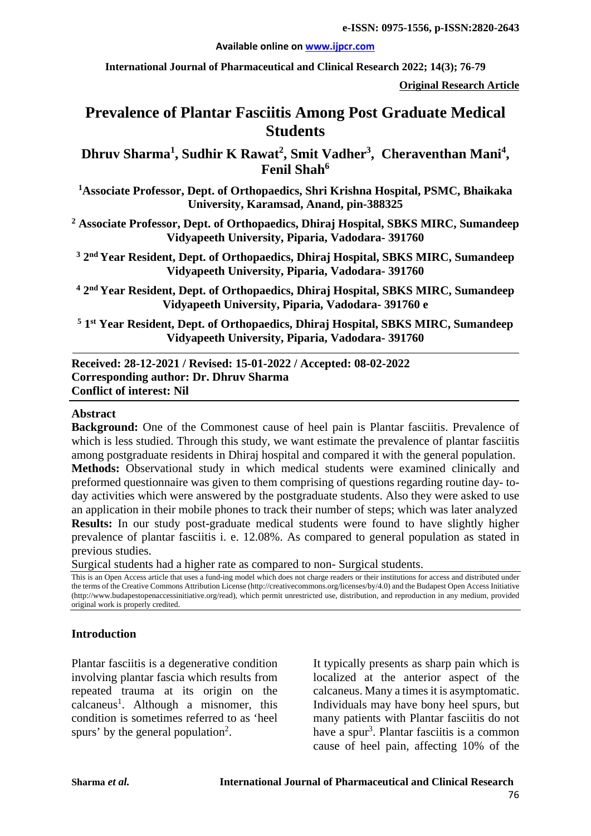#### **Available online on [www.ijpcr.com](http://www.ijpcr.com/)**

**International Journal of Pharmaceutical and Clinical Research 2022; 14(3); 76-79**

**Original Research Article**

# **Prevalence of Plantar Fasciitis Among Post Graduate Medical Students**

**Dhruv Sharma<sup>1</sup> , Sudhir K Rawat<sup>2</sup> , Smit Vadher3 , Cheraventhan Mani<sup>4</sup> , Fenil Shah<sup>6</sup>**

**1 Associate Professor, Dept. of Orthopaedics, Shri Krishna Hospital, PSMC, Bhaikaka University, Karamsad, Anand, pin-388325**

**<sup>2</sup> Associate Professor, Dept. of Orthopaedics, Dhiraj Hospital, SBKS MIRC, Sumandeep Vidyapeeth University, Piparia, Vadodara- 391760**

**<sup>3</sup> 2nd Year Resident, Dept. of Orthopaedics, Dhiraj Hospital, SBKS MIRC, Sumandeep Vidyapeeth University, Piparia, Vadodara- 391760**

**<sup>4</sup> 2nd Year Resident, Dept. of Orthopaedics, Dhiraj Hospital, SBKS MIRC, Sumandeep Vidyapeeth University, Piparia, Vadodara- 391760 e**

**<sup>5</sup> 1st Year Resident, Dept. of Orthopaedics, Dhiraj Hospital, SBKS MIRC, Sumandeep Vidyapeeth University, Piparia, Vadodara- 391760**

**Received: 28-12-2021 / Revised: 15-01-2022 / Accepted: 08-02-2022 Corresponding author: Dr. Dhruv Sharma Conflict of interest: Nil**

#### **Abstract**

**Background:** One of the Commonest cause of heel pain is Plantar fasciitis. Prevalence of which is less studied. Through this study, we want estimate the prevalence of plantar fasciitis among postgraduate residents in Dhiraj hospital and compared it with the general population. **Methods:** Observational study in which medical students were examined clinically and preformed questionnaire was given to them comprising of questions regarding routine day- today activities which were answered by the postgraduate students. Also they were asked to use an application in their mobile phones to track their number of steps; which was later analyzed **Results:** In our study post-graduate medical students were found to have slightly higher prevalence of plantar fasciitis i. e. 12.08%. As compared to general population as stated in previous studies.

Surgical students had a higher rate as compared to non- Surgical students.

This is an Open Access article that uses a fund-ing model which does not charge readers or their institutions for access and distributed under the terms of the Creative Commons Attribution License (http://creativecommons.org/licenses/by/4.0) and the Budapest Open Access Initiative (http://www.budapestopenaccessinitiative.org/read), which permit unrestricted use, distribution, and reproduction in any medium, provided original work is properly credited.

#### **Introduction**

Plantar fasciitis is a degenerative condition involving plantar fascia which results from repeated trauma at its origin on the calcaneus<sup>1</sup>. Although a misnomer, this condition is sometimes referred to as 'heel spurs' by the general population<sup>2</sup>.

It typically presents as sharp pain which is localized at the anterior aspect of the calcaneus. Many a times it is asymptomatic. Individuals may have bony heel spurs, but many patients with Plantar fasciitis do not have a spur<sup>3</sup>. Plantar fasciitis is a common cause of heel pain, affecting 10% of the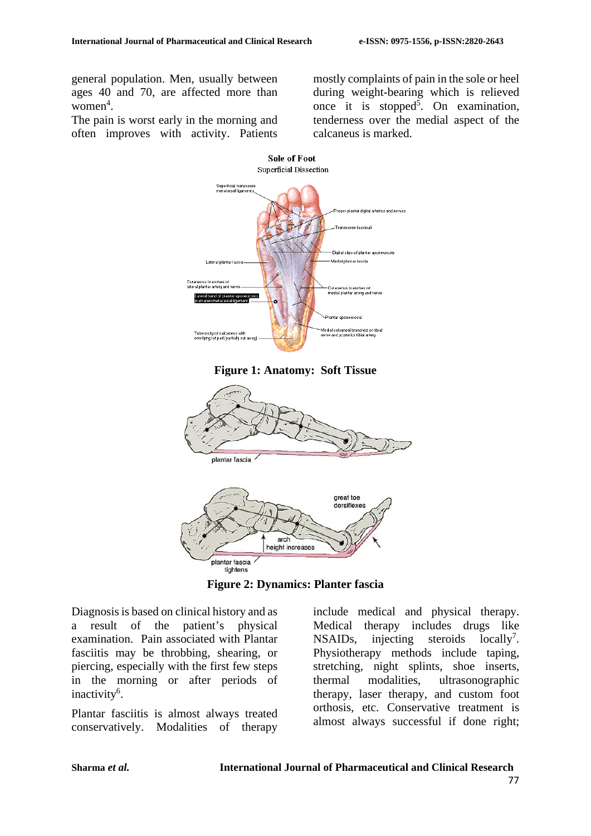general population. Men, usually between ages 40 and 70, are affected more than  $women<sup>4</sup>$ .

The pain is worst early in the morning and often improves with activity. Patients

mostly complaints of pain in the sole or heel during weight-bearing which is relieved once it is stopped<sup>5</sup>. On examination, tenderness over the medial aspect of the calcaneus is marked.



**Figure 1: Anatomy: Soft Tissue**



**Figure 2: Dynamics: Planter fascia**

Diagnosis is based on clinical history and as a result of the patient's physical examination. Pain associated with Plantar fasciitis may be throbbing, shearing, or piercing, especially with the first few steps in the morning or after periods of inactivity<sup>6</sup>.

Plantar fasciitis is almost always treated conservatively. Modalities of therapy

include medical and physical therapy. Medical therapy includes drugs like NSAIDs, injecting steroids locally<sup>7</sup>. Physiotherapy methods include taping, stretching, night splints, shoe inserts, thermal modalities, ultrasonographic therapy, laser therapy, and custom foot orthosis, etc. Conservative treatment is almost always successful if done right;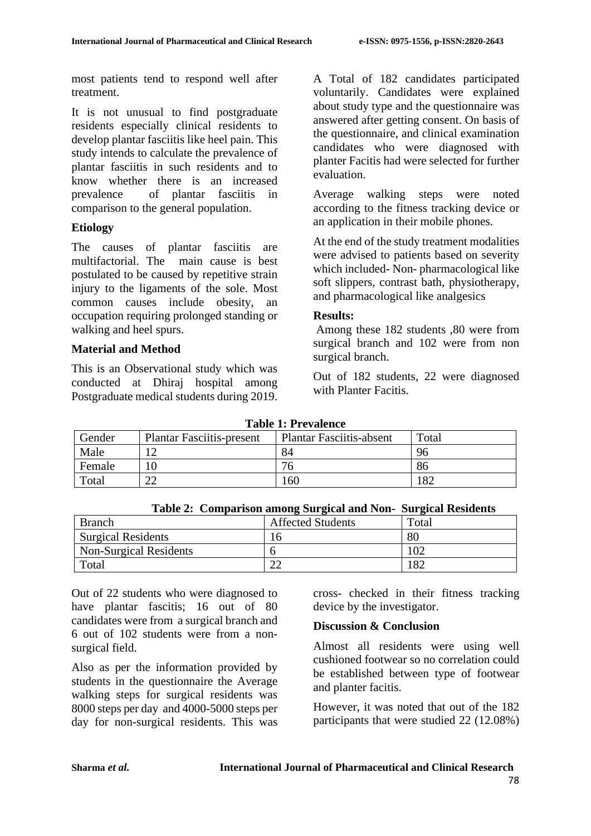most patients tend to respond well after treatment.

It is not unusual to find postgraduate residents especially clinical residents to develop plantar fasciitis like heel pain. This study intends to calculate the prevalence of plantar fasciitis in such residents and to know whether there is an increased prevalence of plantar fasciitis in comparison to the general population.

# **Etiology**

The causes of plantar fasciitis are multifactorial. The main cause is best postulated to be caused by repetitive strain injury to the ligaments of the sole. Most common causes include obesity, an occupation requiring prolonged standing or walking and heel spurs.

# **Material and Method**

This is an Observational study which was conducted at Dhiraj hospital among Postgraduate medical students during 2019. A Total of 182 candidates participated voluntarily. Candidates were explained about study type and the questionnaire was answered after getting consent. On basis of the questionnaire, and clinical examination candidates who were diagnosed with planter Facitis had were selected for further evaluation.

Average walking steps were noted according to the fitness tracking device or an application in their mobile phones.

At the end of the study treatment modalities were advised to patients based on severity which included- Non- pharmacological like soft slippers, contrast bath, physiotherapy, and pharmacological like analgesics

# **Results:**

Among these 182 students ,80 were from surgical branch and 102 were from non surgical branch.

Out of 182 students, 22 were diagnosed with Planter Facitis.

| Table 1: Prevalence |                                  |                                 |       |  |
|---------------------|----------------------------------|---------------------------------|-------|--|
| Gender              | <b>Plantar Fasciitis-present</b> | <b>Plantar Fasciitis-absent</b> | Total |  |
| Male                |                                  | 84                              | 96    |  |
| Female              | 10                               | 76                              | 86    |  |
| Total               |                                  | 160                             | .82   |  |

**Table 1: Prevalence**

 **Table 2: Comparison among Surgical and Non- Surgical Residents**

| <b>Branch</b>             | <b>Affected Students</b> | Total |
|---------------------------|--------------------------|-------|
| <b>Surgical Residents</b> | ۱h                       | 80    |
| Non-Surgical Residents    |                          |       |
| Total                     | າາ<br>∠∠                 | 182   |

Out of 22 students who were diagnosed to have plantar fascitis; 16 out of 80 candidates were from a surgical branch and 6 out of 102 students were from a nonsurgical field.

Also as per the information provided by students in the questionnaire the Average walking steps for surgical residents was 8000 steps per day and 4000-5000 steps per day for non-surgical residents. This was cross- checked in their fitness tracking device by the investigator.

# **Discussion & Conclusion**

Almost all residents were using well cushioned footwear so no correlation could be established between type of footwear and planter facitis.

However, it was noted that out of the 182 participants that were studied 22 (12.08%)